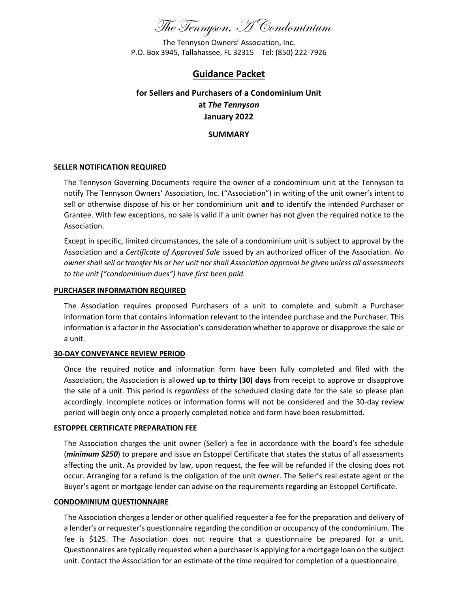

The Tennyson Owners' Association, Inc. P.O. Box 3945, Tallahassee, FL 32315 Tel: (850) 222-7926

## **Guidance Packet**

# **for Sellers and Purchasers of a Condominium Unit at** *The Tennyson* **January 2022**

**SUMMARY**

#### **SELLER NOTIFICATION REQUIRED**

The Tennyson Governing Documents require the owner of a condominium unit at the Tennyson to notify The Tennyson Owners' Association, Inc. ("Association") in writing of the unit owner's intent to sell or otherwise dispose of his or her condominium unit **and** to identify the intended Purchaser or Grantee. With few exceptions, no sale is valid if a unit owner has not given the required notice to the Association.

Except in specific, limited circumstances, the sale of a condominium unit is subject to approval by the Association and a *Certificate of Approved Sale* issued by an authorized officer of the Association. *No owner shall sell or transfer his or her unit nor shall Association approval be given unless all assessments to the unit ("condominium dues") have first been paid.*

#### **PURCHASER INFORMATION REQUIRED**

The Association requires proposed Purchasers of a unit to complete and submit a Purchaser information form that contains information relevant to the intended purchase and the Purchaser. This information is a factor in the Association's consideration whether to approve or disapprove the sale or a unit.

#### **30-DAY CONVEYANCE REVIEW PERIOD**

Once the required notice **and** information form have been fully completed and filed with the Association, the Association is allowed **up to thirty (30) days** from receipt to approve or disapprove the sale of a unit. This period is *regardless* of the scheduled closing date for the sale so please plan accordingly. Incomplete notices or information forms will not be considered and the 30-day review period will begin only once a properly completed notice and form have been resubmitted.

#### **ESTOPPEL CERTIFICATE PREPARATION FEE**

The Association charges the unit owner (Seller) a fee in accordance with the board's fee schedule (*minimum \$250*) to prepare and issue an Estoppel Certificate that states the status of all assessments affecting the unit. As provided by law, upon request, the fee will be refunded if the closing does not occur. Arranging for a refund is the obligation of the unit owner. The Seller's real estate agent or the Buyer's agent or mortgage lender can advise on the requirements regarding an Estoppel Certificate.

#### **CONDOMINIUM QUESTIONNAIRE**

The Association charges a lender or other qualified requester a fee for the preparation and delivery of a lender's or requester's questionnaire regarding the condition or occupancy of the condominium. The fee is \$125. The Association does not require that a questionnaire be prepared for a unit. Questionnaires are typically requested when a purchaser is applying for a mortgage loan on the subject unit. Contact the Association for an estimate of the time required for completion of a questionnaire.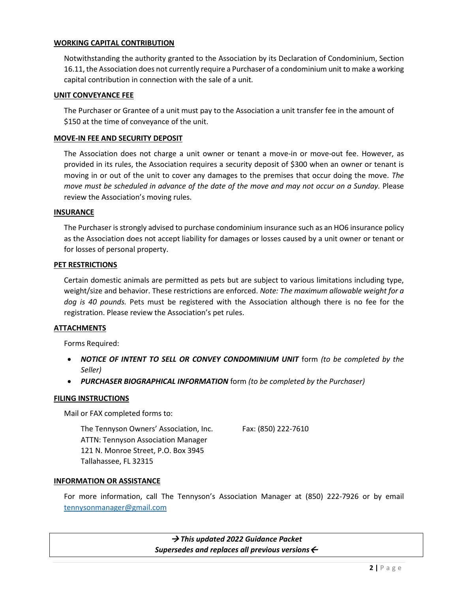### **WORKING CAPITAL CONTRIBUTION**

Notwithstanding the authority granted to the Association by its Declaration of Condominium, Section 16.11, the Association does not currently require a Purchaser of a condominium unit to make a working capital contribution in connection with the sale of a unit*.*

#### **UNIT CONVEYANCE FEE**

The Purchaser or Grantee of a unit must pay to the Association a unit transfer fee in the amount of \$150 at the time of conveyance of the unit.

#### **MOVE-IN FEE AND SECURITY DEPOSIT**

The Association does not charge a unit owner or tenant a move-in or move-out fee. However, as provided in its rules, the Association requires a security deposit of \$300 when an owner or tenant is moving in or out of the unit to cover any damages to the premises that occur doing the move. *The move must be scheduled in advance of the date of the move and may not occur on a Sunday.* Please review the Association's moving rules.

#### **INSURANCE**

The Purchaser is strongly advised to purchase condominium insurance such as an HO6 insurance policy as the Association does not accept liability for damages or losses caused by a unit owner or tenant or for losses of personal property.

#### **PET RESTRICTIONS**

Certain domestic animals are permitted as pets but are subject to various limitations including type, weight/size and behavior. These restrictions are enforced. *Note: The maximum allowable weight for a dog is 40 pounds.* Pets must be registered with the Association although there is no fee for the registration. Please review the Association's pet rules.

#### **ATTACHMENTS**

Forms Required:

- *NOTICE OF INTENT TO SELL OR CONVEY CONDOMINIUM UNIT* form *(to be completed by the Seller)*
- *PURCHASER BIOGRAPHICAL INFORMATION* form *(to be completed by the Purchaser)*

#### **FILING INSTRUCTIONS**

Mail or FAX completed forms to:

The Tennyson Owners' Association, Inc. Fax: (850) 222-7610 ATTN: Tennyson Association Manager 121 N. Monroe Street, P.O. Box 3945 Tallahassee, FL 32315

#### **INFORMATION OR ASSISTANCE**

For more information, call The Tennyson's Association Manager at (850) 222-7926 or by email [tennysonmanager@gmail.com](mailto:tennysonmanager@gmail.com)

> → *This updated 2022 Guidance Packet Supersedes and replaces all previous versions*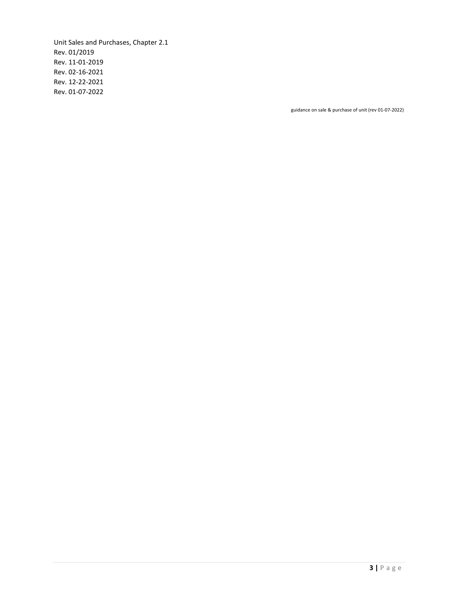Unit Sales and Purchases, Chapter 2.1 Rev. 01/2019 Rev. 11-01-2019 Rev. 02-16-2021 Rev. 12-22-2021 Rev. 01-07-2022

guidance on sale & purchase of unit (rev 01-07-2022)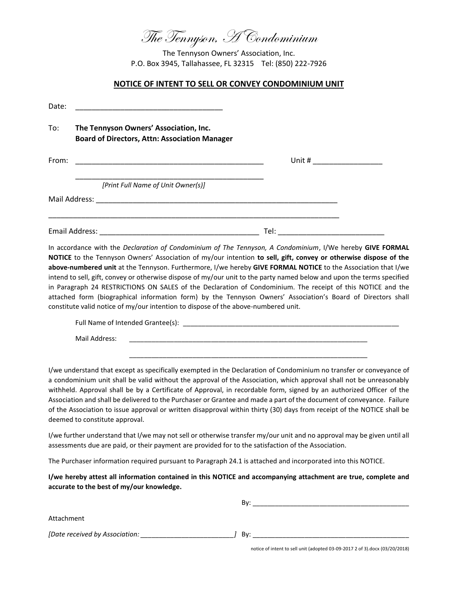The Tennyson, A Condominium

The Tennyson Owners' Association, Inc. P.O. Box 3945, Tallahassee, FL 32315 Tel: (850) 222-7926

#### **NOTICE OF INTENT TO SELL OR CONVEY CONDOMINIUM UNIT**

| Date: | <u> 1989 - Johann John Stone, mars et al. (1989)</u>                                                                                                                                                                                                                 |  |
|-------|----------------------------------------------------------------------------------------------------------------------------------------------------------------------------------------------------------------------------------------------------------------------|--|
| To:   | The Tennyson Owners' Association, Inc.<br><b>Board of Directors, Attn: Association Manager</b>                                                                                                                                                                       |  |
| From: |                                                                                                                                                                                                                                                                      |  |
|       | [Print Full Name of Unit Owner(s)]<br>Mail Address: National Address: National Address: National Address: National Address: National Address: National Address: National Address: National Address: National Address: National Address: National Address: National A |  |
|       |                                                                                                                                                                                                                                                                      |  |
|       | In accordance with the Declaration of Condominium of The Tennyson, A Condominium, I/We hereby GIVE FORMAL                                                                                                                                                            |  |

**NOTICE** to the Tennyson Owners' Association of my/our intention **to sell, gift, convey or otherwise dispose of the above-numbered unit** at the Tennyson. Furthermore, I/we hereby **GIVE FORMAL NOTICE** to the Association that I/we intend to sell, gift, convey or otherwise dispose of my/our unit to the party named below and upon the terms specified in Paragraph 24 RESTRICTIONS ON SALES of the Declaration of Condominium. The receipt of this NOTICE and the attached form (biographical information form) by the Tennyson Owners' Association's Board of Directors shall constitute valid notice of my/our intention to dispose of the above-numbered unit.

Full Name of Intended Grantee(s): \_\_\_\_\_\_\_\_\_\_\_\_\_\_\_\_\_\_\_\_\_\_\_\_\_\_\_\_\_\_\_\_\_\_\_\_\_\_\_\_\_\_\_\_\_\_\_\_\_\_\_\_\_\_\_\_\_\_

\_\_\_\_\_\_\_\_\_\_\_\_\_\_\_\_\_\_\_\_\_\_\_\_\_\_\_\_\_\_\_\_\_\_\_\_\_\_\_\_\_\_\_\_\_\_\_\_\_\_\_\_\_\_\_\_\_\_\_\_\_\_\_\_

Mail Address:

I/we understand that except as specifically exempted in the Declaration of Condominium no transfer or conveyance of a condominium unit shall be valid without the approval of the Association, which approval shall not be unreasonably withheld. Approval shall be by a Certificate of Approval, in recordable form, signed by an authorized Officer of the Association and shall be delivered to the Purchaser or Grantee and made a part of the document of conveyance. Failure of the Association to issue approval or written disapproval within thirty (30) days from receipt of the NOTICE shall be deemed to constitute approval.

I/we further understand that I/we may not sell or otherwise transfer my/our unit and no approval may be given until all assessments due are paid, or their payment are provided for to the satisfaction of the Association.

The Purchaser information required pursuant to Paragraph 24.1 is attached and incorporated into this NOTICE.

**I/we hereby attest all information contained in this NOTICE and accompanying attachment are true, complete and accurate to the best of my/our knowledge.**

|                                | Bv: |
|--------------------------------|-----|
| Attachment                     |     |
| [Date received by Association: | Bv: |

notice of intent to sell unit (adopted 03-09-2017 2 of 3).docx (03/20/2018)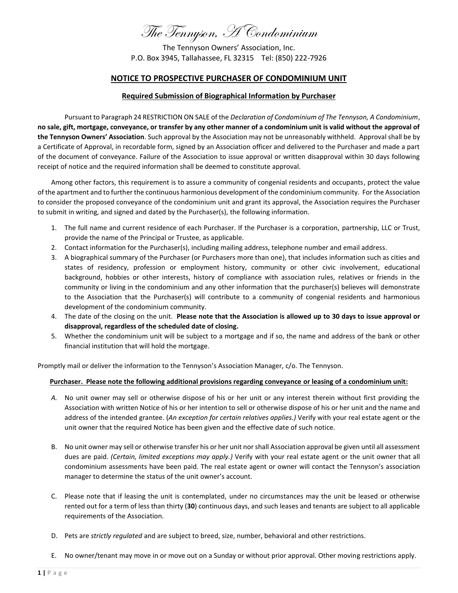# The Tennyson, A Condominium

The Tennyson Owners' Association, Inc. P.O. Box 3945, Tallahassee, FL 32315 Tel: (850) 222-7926

#### **NOTICE TO PROSPECTIVE PURCHASER OF CONDOMINIUM UNIT**

#### **Required Submission of Biographical Information by Purchaser**

Pursuant to Paragraph 24 RESTRICTION ON SALE of the *Declaration of Condominium of The Tennyson, A Condominium*, **no sale, gift, mortgage, conveyance, or transfer by any other manner of a condominium unit is valid without the approval of the Tennyson Owners' Association**. Such approval by the Association may not be unreasonably withheld. Approval shall be by a Certificate of Approval, in recordable form, signed by an Association officer and delivered to the Purchaser and made a part of the document of conveyance. Failure of the Association to issue approval or written disapproval within 30 days following receipt of notice and the required information shall be deemed to constitute approval.

Among other factors, this requirement is to assure a community of congenial residents and occupants, protect the value of the apartment and to further the continuous harmonious development of the condominium community. For the Association to consider the proposed conveyance of the condominium unit and grant its approval, the Association requires the Purchaser to submit in writing, and signed and dated by the Purchaser(s), the following information.

- 1. The full name and current residence of each Purchaser. If the Purchaser is a corporation, partnership, LLC or Trust, provide the name of the Principal or Trustee, as applicable.
- 2. Contact information for the Purchaser(s), including mailing address, telephone number and email address.
- 3. A biographical summary of the Purchaser (or Purchasers more than one), that includes information such as cities and states of residency, profession or employment history, community or other civic involvement, educational background, hobbies or other interests, history of compliance with association rules, relatives or friends in the community or living in the condominium and any other information that the purchaser(s) believes will demonstrate to the Association that the Purchaser(s) will contribute to a community of congenial residents and harmonious development of the condominium community.
- 4. The date of the closing on the unit. **Please note that the Association is allowed up to 30 days to issue approval or disapproval, regardless of the scheduled date of closing.**
- 5. Whether the condominium unit will be subject to a mortgage and if so, the name and address of the bank or other financial institution that will hold the mortgage.

Promptly mail or deliver the information to the Tennyson's Association Manager, c/o. The Tennyson.

#### **Purchaser. Please note the following additional provisions regarding conveyance or leasing of a condominium unit:**

- *A.* No unit owner may sell or otherwise dispose of his or her unit or any interest therein without first providing the Association with written Notice of his or her intention to sell or otherwise dispose of his or her unit and the name and address of the intended grantee. (*An exception for certain relatives applies.)* Verify with your real estate agent or the unit owner that the required Notice has been given and the effective date of such notice.
- B. No unit owner may sell or otherwise transfer his or her unit nor shall Association approval be given until all assessment dues are paid. *(Certain, limited exceptions may apply.)* Verify with your real estate agent or the unit owner that all condominium assessments have been paid. The real estate agent or owner will contact the Tennyson's association manager to determine the status of the unit owner's account.
- C. Please note that if leasing the unit is contemplated, under no circumstances may the unit be leased or otherwise rented out for a term of less than thirty (**30**) continuous days, and such leases and tenants are subject to all applicable requirements of the Association.
- D. Pets are *strictly regulated* and are subject to breed, size, number, behavioral and other restrictions.
- E. No owner/tenant may move in or move out on a Sunday or without prior approval. Other moving restrictions apply.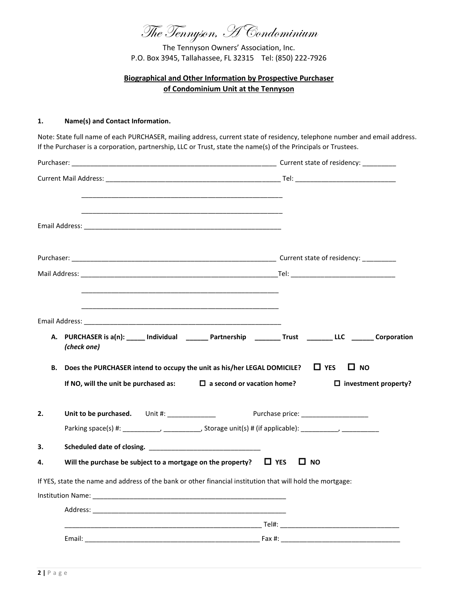The Tennyson, A Condominium

The Tennyson Owners' Association, Inc. P.O. Box 3945, Tallahassee, FL 32315 Tel: (850) 222-7926

# **Biographical and Other Information by Prospective Purchaser of Condominium Unit at the Tennyson**

#### **1. Name(s) and Contact Information.**

Note: State full name of each PURCHASER, mailing address, current state of residency, telephone number and email address. If the Purchaser is a corporation, partnership, LLC or Trust, state the name(s) of the Principals or Trustees.

|    | A. PURCHASER is a(n): _____ Individual _______ Partnership ________ Trust _______ LLC ______ Corporation<br>(check one)                                          |                                          |  |
|----|------------------------------------------------------------------------------------------------------------------------------------------------------------------|------------------------------------------|--|
| В. | Does the PURCHASER intend to occupy the unit as his/her LEGAL DOMICILE? $\Box$ YES<br>If NO, will the unit be purchased as: $\square$ a second or vacation home? | $\Box$ NO<br>$\Box$ investment property? |  |
| 2. | Unit to be purchased. Unit #: _______________                                                                                                                    |                                          |  |
|    |                                                                                                                                                                  |                                          |  |
| 3. | Scheduled date of closing.                                                                                                                                       |                                          |  |
| 4. | Will the purchase be subject to a mortgage on the property? $\Box$ YES                                                                                           | $\square$ NO                             |  |
|    | If YES, state the name and address of the bank or other financial institution that will hold the mortgage:                                                       |                                          |  |
|    |                                                                                                                                                                  |                                          |  |
|    |                                                                                                                                                                  |                                          |  |
|    |                                                                                                                                                                  |                                          |  |
|    |                                                                                                                                                                  |                                          |  |
|    |                                                                                                                                                                  |                                          |  |